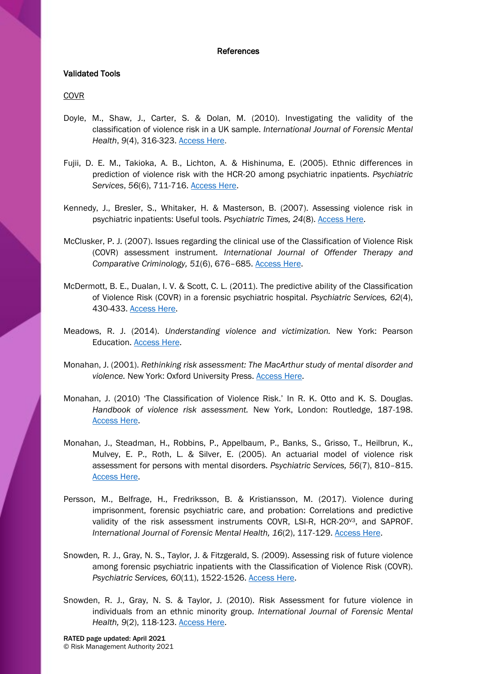## References

# Validated Tools

## COVR

- Doyle, M., Shaw, J., Carter, S. & Dolan, M. (2010). Investigating the validity of the classification of violence risk in a UK sample. *International Journal of Forensic Mental Health*, *9*(4), 316-323. [Access Here.](https://www.tandfonline.com/doi/abs/10.1080/14999013.2010.527428)
- Fujii, D. E. M., Takioka, A. B., Lichton, A. & Hishinuma, E. (2005). Ethnic differences in prediction of violence risk with the HCR-20 among psychiatric inpatients. *Psychiatric Services*, *56*(6), 711-716. [Access Here.](https://ps.psychiatryonline.org/doi/full/10.1176/appi.ps.56.6.711?url_ver=Z39.88-2003&rfr_id=ori:rid:crossref.org&rfr_dat=cr_pub%3dpubmed)
- Kennedy, J., Bresler, S., Whitaker, H. & Masterson, B. (2007). Assessing violence risk in psychiatric inpatients: Useful tools. *Psychiatric Times, 24*(8). [Access Here.](http://www.psychiatrictimes.com/geriatric-psychiatry/assessing-violence-risk-psychiatric-inpatients-useful-tools)
- McClusker, P. J. (2007). Issues regarding the clinical use of the Classification of Violence Risk (COVR) assessment instrument. *International Journal of Offender Therapy and Comparative Criminology, 51*(6), 676–685. [Access Here.](https://journals.sagepub.com/doi/abs/10.1177/0306624X07299227)
- McDermott, B. E., Dualan, I. V. & Scott, C. L. (2011). The predictive ability of the Classification of Violence Risk (COVR) in a forensic psychiatric hospital. *Psychiatric Services, 62*(4), 430-433. [Access Here.](https://ps.psychiatryonline.org/doi/10.1176/ps.62.4.pss6204_0430)
- Meadows, R. J. (2014). *Understanding violence and victimization.* New York: Pearson Education. [Access Here.](https://books.google.co.uk/books?id=KYAvAAAAQBAJ&dq=robert+meadows+2014+understanding+violence+and+victimisation&hl=en&sa=X&ved=0ahUKEwiJoez3tKnfAhWNRBUIHSvOCTkQ6AEIKDAA)
- Monahan, J. (2001). *Rethinking risk assessment: The MacArthur study of mental disorder and violence.* New York: Oxford University Press. [Access Here.](https://books.google.co.uk/books/about/Rethinking_Risk_Assessment.html?id=VRNnDAAAQBAJ&redir_esc=y)
- Monahan, J. (2010) 'The Classification of Violence Risk.' In R. K. Otto and K. S. Douglas. *Handbook of violence risk assessment.* New York, London: Routledge, 187-198. [Access Here.](https://books.google.co.uk/books?id=p1JoYbAAN7QC&printsec=frontcover&source=gbs_ge_summary_r&cad=0#v=onepage&q&f=false)
- Monahan, J., Steadman, H., Robbins, P., Appelbaum, P., Banks, S., Grisso, T., Heilbrun, K., Mulvey, E. P., Roth, L. & Silver, E. (2005). An actuarial model of violence risk assessment for persons with mental disorders. *Psychiatric Services, 56*(7), 810–815. [Access Here.](https://ps.psychiatryonline.org/doi/full/10.1176/appi.ps.56.7.810?url_ver=Z39.88-2003&rfr_id=ori:rid:crossref.org&rfr_dat=cr_pub%3dpubmed)
- Persson, M., Belfrage, H., Fredriksson, B. & Kristiansson, M. (2017). Violence during imprisonment, forensic psychiatric care, and probation: Correlations and predictive validity of the risk assessment instruments COVR, LSI-R, HCR-20V3, and SAPROF. *International Journal of Forensic Mental Health, 16*(2), 117-129. [Access Here.](https://www.tandfonline.com/doi/abs/10.1080/14999013.2016.1266420)
- Snowden*,* R. J., Gray, N. S., Taylor, J. & Fitzgerald, S. *(*2009). Assessing risk of future violence among forensic psychiatric inpatients with the Classification of Violence Risk (COVR). *Psychiatric Services, 60*(11), 1522-1526. [Access Here.](https://ps.psychiatryonline.org/doi/full/10.1176/ps.2009.60.11.1522?url_ver=Z39.88-2003&rfr_id=ori%3Arid%3Acrossref.org&rfr_dat=cr_pub%3Dpubmed&)
- Snowden, R. J., Gray, N. S. & Taylor, J. (2010). Risk Assessment for future violence in individuals from an ethnic minority group. *International Journal of Forensic Mental Health, 9*(2), 118-123. [Access Here.](https://www.tandfonline.com/doi/abs/10.1080/14999013.2010.501845)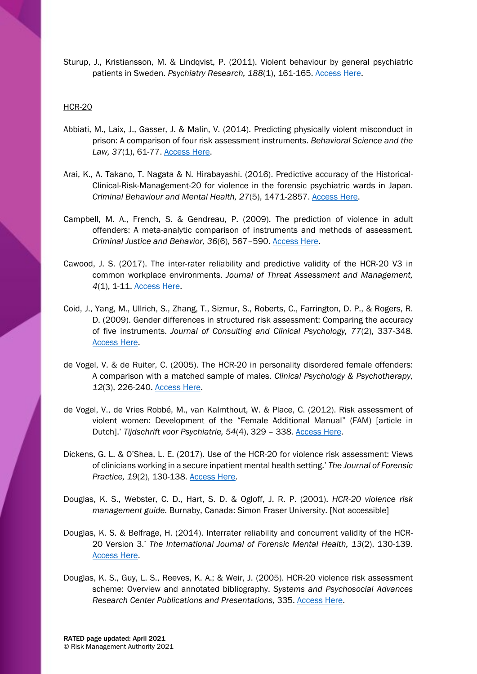Sturup, J., Kristiansson, M. & Lindqvist, P. (2011). Violent behaviour by general psychiatric patients in Sweden. *Ps*yc*hiatry Research, 188*(1), 161-165. [Access Here.](https://www.sciencedirect.com/science/article/pii/S0165178110007894?via%3Dihub)

## HCR-20

- Abbiati, M., Laix, J., Gasser, J. & Malin, V. (2014). Predicting physically violent misconduct in prison: A comparison of four risk assessment instruments. *Behavioral Science and the Law, 37*(1), 61-77. [Access Here.](https://onlinelibrary.wiley.com/doi/full/10.1002/bsl.2364)
- Arai, K., A. Takano, T. Nagata & N. Hirabayashi. (2016). Predictive accuracy of the Historical-Clinical-Risk-Management-20 for violence in the forensic psychiatric wards in Japan. *Criminal Behaviour and Mental Health, 27*(5), 1471-2857. [Access Here.](https://onlinelibrary.wiley.com/doi/abs/10.1002/cbm.2007)
- Campbell, M. A., French, S. & Gendreau, P. (2009). The prediction of violence in adult offenders: A meta-analytic comparison of instruments and methods of assessment. *Criminal Justice and Behavior, 36*(6), 567–590. [Access Here.](https://journals.sagepub.com/doi/10.1177/0093854809333610)
- Cawood, J. S. (2017). The inter-rater reliability and predictive validity of the HCR-20 V3 in common workplace environments. *Journal of Threat Assessment and Management, 4*(1), 1-11. [Access Here.](http://psycnet.apa.org/record/2016-59621-001)
- Coid, J., Yang, M., Ullrich, S., Zhang, T., Sizmur, S., Roberts, C., Farrington, D. P., & Rogers, R. D. (2009). Gender differences in structured risk assessment: Comparing the accuracy of five instruments. *Journal of Consulting and Clinical Psychology, 77*(2), 337-348. [Access Here.](http://psycnet.apa.org/record/2009-03774-014)
- de Vogel, V. & de Ruiter, C. (2005). The HCR-20 in personality disordered female offenders: A comparison with a matched sample of males. *Clinical Psychology & Psychotherapy, 12*(3), 226-240. [Access Here.](https://onlinelibrary.wiley.com/doi/abs/10.1002/cpp.452)
- de Vogel, V., de Vries Robbé, M., van Kalmthout, W. & Place, C. (2012). Risk assessment of violent women: Development of the "Female Additional Manual" (FAM) [article in Dutch].' *Tijdschrift voor Psychiatrie, 54*(4), 329 – 338. [Access Here.](http://www.tijdschriftvoorpsychiatrie.nl/en/issues/452/articles/9362)
- Dickens, G. L. & O'Shea, L. E. (2017). Use of the HCR-20 for violence risk assessment: Views of clinicians working in a secure inpatient mental health setting.' *The Journal of Forensic Practice, 19*(2), 130-138. [Access Here.](https://www.emeraldinsight.com/doi/abs/10.1108/JFP-08-2016-0039)
- Douglas, K. S., Webster, C. D., Hart, S. D. & Ogloff, J. R. P. (2001). *HCR-20 violence risk management guide.* Burnaby, Canada: Simon Fraser University. [Not accessible]
- Douglas, K. S. & Belfrage, H. (2014). Interrater reliability and concurrent validity of the HCR-20 Version 3.' *The International Journal of Forensic Mental Health, 13*(2), 130-139. [Access Here.](http://psycnet.apa.org/record/2014-21012-005)
- Douglas, K. S., Guy, L. S., Reeves, K. A.; & Weir, J. (2005). HCR-20 violence risk assessment scheme: Overview and annotated bibliography. *Systems and Psychosocial Advances Research Center Publications and Presentations,* 335. [Access Here.](https://escholarship.umassmed.edu/cgi/viewcontent.cgi?article=1362&context=psych_cmhsr)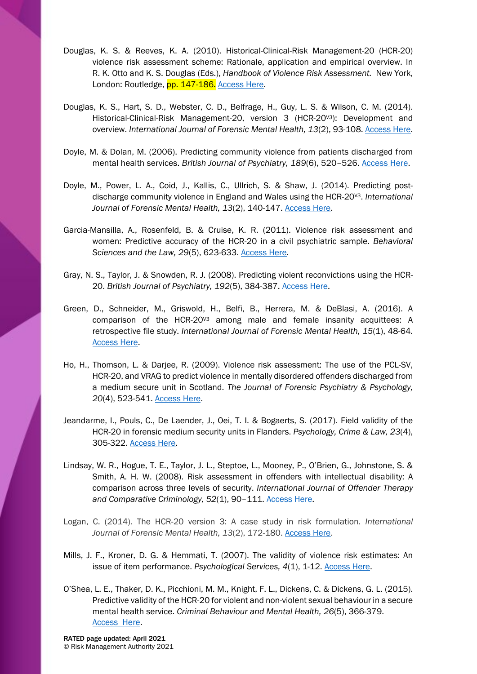- Douglas, K. S. & Reeves, K. A. (2010). Historical-Clinical-Risk Management-20 (HCR-20) violence risk assessment scheme: Rationale, application and empirical overview. In R. K. Otto and K. S. Douglas (Eds.), *Handbook of Violence Risk Assessment.* New York, London: Routledge, pp. 147-186. Access Here.
- Douglas, K. S., Hart, S. D., Webster, C. D., Belfrage, H., Guy, L. S. & Wilson, C. M. (2014). Historical-Clinical-Risk Management-20, version 3 (HCR-20<sup>v3</sup>): Development and overview. *International Journal of Forensic Mental Health, 13*(2), 93-108. [Access Here.](https://www.tandfonline.com/doi/abs/10.1080/14999013.2014.906519)
- Doyle, M. & Dolan, M. (2006). Predicting community violence from patients discharged from mental health services. *British Journal of Psychiatry, 189*(6), 520–526. [Access Here.](https://www.cambridge.org/core/journals/the-british-journal-of-psychiatry/article/predicting-community-violence-from-patients-discharged-from-mental-health-services/48EDFA5A28E7E2C50201C83C7EDCB44F)
- Doyle, M., Power, L. A., Coid, J., Kallis, C., Ullrich, S. & Shaw, J. (2014). Predicting postdischarge community violence in England and Wales using the HCR-20V3. *International Journal of Forensic Mental Health, 13*(2), 140-147. [Access Here.](https://www.tandfonline.com/doi/abs/10.1080/14999013.2014.906517)
- Garcia-Mansilla, A., Rosenfeld, B. & Cruise, K. R. (2011). Violence risk assessment and women: Predictive accuracy of the HCR-20 in a civil psychiatric sample. *Behavioral Sciences and the Law, 29*(5), 623-633. [Access Here.](https://onlinelibrary.wiley.com/doi/abs/10.1002/bsl.1005)
- Gray, N. S., Taylor, J. & Snowden, R. J. (2008). Predicting violent reconvictions using the HCR-20. *British Journal of Psychiatry, 192*(5), 384-387. [Access Here.](http://psych.cf.ac.uk/home2/snowden/2008_BJP_Grayetal.pdf)
- Green, D., Schneider, M., Griswold, H., Belfi, B., Herrera, M. & DeBlasi, A. (2016). A comparison of the HCR-20V3 among male and female insanity acquittees: A retrospective file study. *International Journal of Forensic Mental Health, 15*(1), 48-64. [Access Here.](https://www.tandfonline.com/doi/abs/10.1080/14999013.2015.1134726)
- Ho, H., Thomson, L. & Darjee, R. (2009). Violence risk assessment: The use of the PCL-SV, HCR-20, and VRAG to predict violence in mentally disordered offenders discharged from a medium secure unit in Scotland. *The Journal of Forensic Psychiatry & Psychology, 20*(4), 523-541. [Access Here.](https://www.tandfonline.com/doi/abs/10.1080/14789940802638358)
- Jeandarme, I., Pouls, C., De Laender, J., Oei, T. I. & Bogaerts, S. (2017). Field validity of the HCR-20 in forensic medium security units in Flanders. *Psychology, Crime & Law, 23*(4), 305-322. [Access Here.](https://www.tandfonline.com/doi/abs/10.1080/1068316X.2016.1258467)
- Lindsay, W. R., Hogue, T. E., Taylor, J. L., Steptoe, L., Mooney, P., O'Brien, G., Johnstone, S. & Smith, A. H. W. (2008). Risk assessment in offenders with intellectual disability: A comparison across three levels of security. *International Journal of Offender Therapy and Comparative Criminology, 52*(1), 90–111. [Access Here.](https://journals.sagepub.com/doi/10.1177/0306624X07308111)
- Logan, C. (2014). The HCR-20 version 3: A case study in risk formulation. *International Journal of Forensic Mental Health, 13*(2), 172-180. [Access Here.](https://www.researchgate.net/publication/271947026_The_HCR-20_Version_3_A_case_study_in_risk_formulation)
- Mills, J. F., Kroner, D. G. & Hemmati, T. (2007). The validity of violence risk estimates: An issue of item performance. *Psychological Services, 4*(1), 1-12. [Access Here.](http://psycnet.apa.org/record/2007-02251-001)
- O'Shea, L. E., Thaker, D. K., Picchioni, M. M., Knight, F. L., Dickens, C. & Dickens, G. L. (2015). Predictive validity of the HCR-20 for violent and non-violent sexual behaviour in a secure mental health service. *Criminal Behaviour and Mental Health, 26*(5), 366-379. [Access Here.](https://onlinelibrary.wiley.com/doi/abs/10.1002/cbm.1967)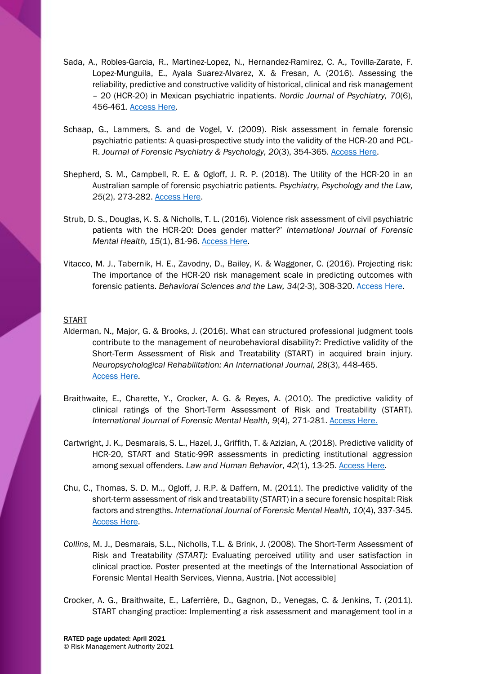- Sada, A., Robles-Garcia, R., Martinez-Lopez, N., Hernandez-Ramirez, C. A., Tovilla-Zarate, F. Lopez-Munguila, E., Ayala Suarez-Alvarez, X. & Fresan, A. (2016). Assessing the reliability, predictive and constructive validity of historical, clinical and risk management – 20 (HCR-20) in Mexican psychiatric inpatients. *Nordic Journal of Psychiatry, 70*(6), 456-461. [Access Here.](https://www.tandfonline.com/doi/full/10.3109/08039488.2016.1159330)
- Schaap, G., Lammers, S. and de Vogel, V. (2009). Risk assessment in female forensic psychiatric patients: A quasi-prospective study into the validity of the HCR-20 and PCL-R. *Journal of Forensic Psychiatry & Psychology, 20*(3), 354-365. [Access Here.](https://www.tandfonline.com/doi/abs/10.1080/14789940802542873)
- Shepherd, S. M., Campbell, R. E. & Ogloff, J. R. P. (2018). The Utility of the HCR-20 in an Australian sample of forensic psychiatric patients. *Psychiatry, Psychology and the Law, 25*(2), 273-282. [Access Here.](https://www.tandfonline.com/doi/abs/10.1080/13218719.2017.1364676?journalCode=tppl20)
- Strub, D. S., Douglas, K. S. & Nicholls, T. L. (2016). Violence risk assessment of civil psychiatric patients with the HCR-20: Does gender matter?' *International Journal of Forensic Mental Health, 15*(1), 81-96. [Access Here.](https://www.tandfonline.com/doi/abs/10.1080/14999013.2016.1141438)
- Vitacco, M. J., Tabernik, H. E., Zavodny, D., Bailey, K. & Waggoner, C. (2016). Projecting risk: The importance of the HCR-20 risk management scale in predicting outcomes with forensic patients. *Behavioral Sciences and the Law, 34*(2-3), 308-320. [Access Here.](http://psycnet.apa.org/record/2016-15156-001)

## START

- Alderman, N., Major, G. & Brooks, J. (2016). What can structured professional judgment tools contribute to the management of neurobehavioral disability?: Predictive validity of the Short-Term Assessment of Risk and Treatability (START) in acquired brain injury. *Neuropsychological Rehabilitation: An International Journal, 28*(3), 448-465. [Access Here.](https://www.tandfonline.com/doi/abs/10.1080/09602011.2016.1158115?journalCode=pnrh20)
- Braithwaite, E., Charette, Y., Crocker, A. G. & Reyes, A. (2010). The predictive validity of clinical ratings of the Short-Term Assessment of Risk and Treatability (START). *International Journal of Forensic Mental Health, 9*(4), 271-281. [Access Here.](https://www.tandfonline.com/doi/abs/10.1080/14999013.2010.534378)
- Cartwright, J. K., Desmarais, S. L., Hazel, J., Griffith, T. & Azizian, A. (2018). Predictive validity of HCR-20, START and Static-99R assessments in predicting institutional aggression among sexual offenders. *Law and Human Behavior*, *42*(1), 13-25. [Access Here.](http://psycnet.apa.org/record/2017-37179-001)
- Chu, C., Thomas, S. D. M.., Ogloff, J. R.P. & Daffern, M. (2011). The predictive validity of the short-term assessment of risk and treatability (START) in a secure forensic hospital: Risk factors and strengths. *International Journal of Forensic Mental Health, 10*(4), 337-345. [Access Here.](https://www.tandfonline.com/doi/abs/10.1080/14999013.2011.629715)
- *Collins*, M. J., Desmarais, S.L., Nicholls, T.L. & Brink, J. (2008). The Short*-*Term Assessment of Risk and Treatability *(START):* Evaluating perceived utility and user satisfaction in clinical practice*.* Poster presented at the meetings of the International Association of Forensic Mental Health Services, Vienna, Austria. [Not accessible]
- Crocker, A. G., Braithwaite, E., Laferrière, D., Gagnon, D., Venegas, C. & Jenkins, T. (2011). START changing practice: Implementing a risk assessment and management tool in a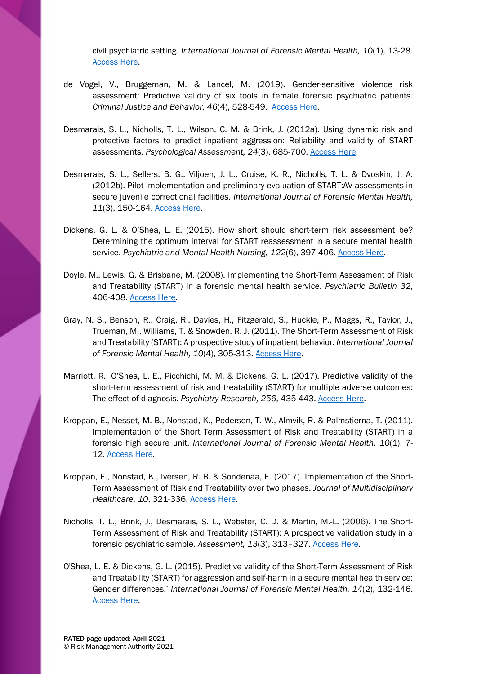civil psychiatric setting. *International Journal of Forensic Mental Health, 10*(1), 13-28. [Access Here.](https://www.tandfonline.com/doi/abs/10.1080/14999013.2011.553146)

- de Vogel, V., Bruggeman, M. & Lancel, M. (2019). Gender-sensitive violence risk assessment: Predictive validity of six tools in female forensic psychiatric patients. *Criminal Justice and Behavior, 46*(4), 528-549. [Access Here.](https://journals.sagepub.com/doi/abs/10.1177/0093854818824135?journalCode=cjbb)
- Desmarais, S. L., Nicholls, T. L., Wilson, C. M. & Brink, J. (2012a). Using dynamic risk and protective factors to predict inpatient aggression: Reliability and validity of START assessments. *Psychological Assessment, 24*(3), 685-700. [Access Here.](http://psycnet.apa.org/record/2012-00736-001)
- Desmarais, S. L., Sellers, B. G., Viljoen, J. L., Cruise, K. R., Nicholls, T. L. & Dvoskin, J. A. (2012b). Pilot implementation and preliminary evaluation of START:AV assessments in secure juvenile correctional facilities. *International Journal of Forensic Mental Health, 11*(3), 150-164. [Access Here.](https://www.ncbi.nlm.nih.gov/pmc/articles/PMC3539717/)
- Dickens, G. L. & O'Shea, L. E. (2015). How short should short-term risk assessment be? Determining the optimum interval for START reassessment in a secure mental health service. *Psychiatric and Mental Health Nursing, 122*(6), 397-406. [Access Here.](https://onlinelibrary.wiley.com/doi/abs/10.1111/jpm.12232)
- Doyle, M., Lewis, G. & Brisbane, M. (2008). Implementing the Short-Term Assessment of Risk and Treatability (START) in a forensic mental health service. *Psychiatric Bulletin 32*, 406-408. [Access Here.](https://www.cambridge.org/core/services/aop-cambridge-core/content/view/FC6885FC4C371BA2CAF80D29EAEDD9A2/S0955603600037776a.pdf/div-class-title-implementing-the-short-term-assessment-of-risk-and-treatability-start-in-a-forensic-mental-health-service-a-href-fn1-ref-type-fn-span-class-sup-span-a-div.pdf)
- Gray, N. S., Benson, R., Craig, R., Davies, H., Fitzgerald, S., Huckle, P., Maggs, R., Taylor, J., Trueman, M., Williams, T. & Snowden, R. J. (2011). The Short-Term Assessment of Risk and Treatability (START): A prospective study of inpatient behavior. *International Journal of Forensic Mental Health, 10*(4), 305-313. [Access Here.](https://www.tandfonline.com/doi/abs/10.1080/14999013.2011.631692)
- Marriott, R., O'Shea, L. E., Picchichi, M. M. & Dickens, G. L. (2017). Predictive validity of the short-term assessment of risk and treatability (START) for multiple adverse outcomes: The effect of diagnosis. *Psychiatry Research, 256*, 435-443. [Access Here.](https://www.sciencedirect.com/science/article/pii/S0165178117300690?via%3Dihub)
- Kroppan, E., Nesset, M. B., Nonstad, K., Pedersen, T. W., Almvik, R. & Palmstierna, T. (2011). Implementation of the Short Term Assessment of Risk and Treatability (START) in a forensic high secure unit. *International Journal of Forensic Mental Health, 10*(1), 7- 12. [Access Here.](https://www.tandfonline.com/doi/abs/10.1080/14999013.2011.552368)
- Kroppan, E., Nonstad, K., Iversen, R. B. & Sondenaa, E. (2017). Implementation of the Short-Term Assessment of Risk and Treatability over two phases. *Journal of Multidisciplinary Healthcare, 10*, 321-336. [Access Here.](https://www.ncbi.nlm.nih.gov/pmc/articles/PMC5565240/)
- Nicholls, T. L., Brink, J., Desmarais, S. L., Webster, C. D. & Martin, M.-L. (2006). The Short-Term Assessment of Risk and Treatability (START): A prospective validation study in a forensic psychiatric sample. *Assessment, 13*(3), 313–327. [Access Here.](https://journals.sagepub.com/doi/10.1177/1073191106290559)
- O'Shea, L. E. & Dickens, G. L. (2015). Predictive validity of the Short-Term Assessment of Risk and Treatability (START) for aggression and self-harm in a secure mental health service: Gender differences.' *International Journal of Forensic Mental Health, 14*(2), 132-146. [Access Here.](https://www.tandfonline.com/doi/abs/10.1080/14999013.2015.1033112)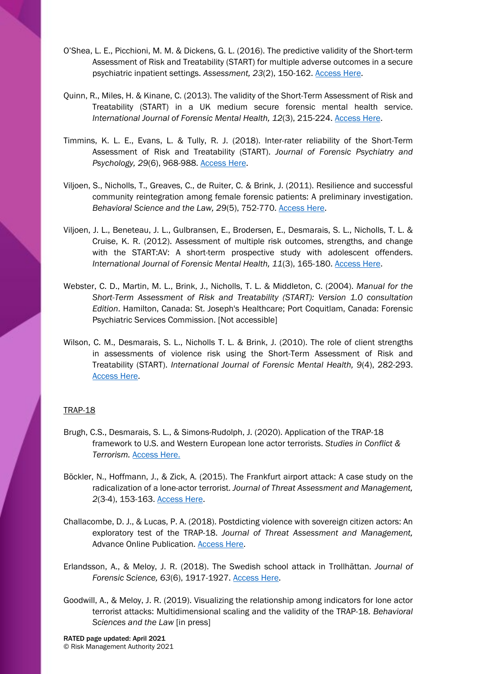- O'Shea, L. E., Picchioni, M. M. & Dickens, G. L. (2016). The predictive validity of the Short-term Assessment of Risk and Treatability (START) for multiple adverse outcomes in a secure psychiatric inpatient settings. *Assessment, 23*(2), 150-162. [Access Here.](https://journals.sagepub.com/doi/full/10.1177/1073191115573301?url_ver=Z39.88-2003&rfr_id=ori%3Arid%3Acrossref.org&rfr_dat=cr_pub%3Dpubmed)
- Quinn, R., Miles, H. & Kinane, C. (2013). The validity of the Short-Term Assessment of Risk and Treatability (START) in a UK medium secure forensic mental health service. *International Journal of Forensic Mental Health, 12*(3), 215-224. [Access Here.](https://www.tandfonline.com/doi/abs/10.1080/14999013.2013.832714)
- Timmins, K. L. E., Evans, L. & Tully, R. J. (2018). Inter-rater reliability of the Short-Term Assessment of Risk and Treatability (START). *Journal of Forensic Psychiatry and Psychology, 29*(6), 968-988. [Access Here.](https://www.tandfonline.com/doi/abs/10.1080/14789949.2018.1523945)
- Viljoen, S., Nicholls, T., Greaves, C., de Ruiter, C. & Brink, J. (2011). Resilience and successful community reintegration among female forensic patients: A preliminary investigation. *Behavioral Science and the Law, 29*(5), 752-770. [Access Here.](https://onlinelibrary.wiley.com/doi/abs/10.1002/bsl.1001)
- Viljoen, J. L., Beneteau, J. L., Gulbransen, E., Brodersen, E., Desmarais, S. L., Nicholls, T. L. & Cruise, K. R. (2012). Assessment of multiple risk outcomes, strengths, and change with the START:AV: A short-term prospective study with adolescent offenders. *International Journal of Forensic Mental Health, 11*(3), 165-180. [Access Here.](https://www.ncbi.nlm.nih.gov/pmc/articles/PMC3578709/)
- Webster, C. D., Martin, M. L., Brink, J., Nicholls, T. L. & Middleton, C. (2004). *Manual for the Short-Term Assessment of Risk and Treatability (START): Version 1.0 consultation Edition*. Hamilton, Canada: St. Joseph's Healthcare; Port Coquitlam, Canada: Forensic Psychiatric Services Commission. [Not accessible]
- Wilson, C. M., Desmarais, S. L., Nicholls T. L. & Brink, J. (2010). The role of client strengths in assessments of violence risk using the Short-Term Assessment of Risk and Treatability (START). *International Journal of Forensic Mental Health, 9*(4), 282-293. [Access Here.](https://www.tandfonline.com/doi/abs/10.1080/14999013.2010.534694)

## TRAP-18

- Brugh, C.S., Desmarais, S. L., & Simons-Rudolph, J. (2020). Application of the TRAP-18 framework to U.S. and Western European lone actor terrorists. *Studies in Conflict & Terrorism.* [Access Here.](https://doi.org/10.1080/1057610X.2020.1758372)
- Böckler, N., Hoffmann, J., & Zick, A. (2015). The Frankfurt airport attack: A case study on the radicalization of a lone-actor terrorist. *Journal of Threat Assessment and Management, 2*(3-4), 153-163. [Access Here.](http://psycnet.apa.org/record/2016-18836-003)
- Challacombe, D. J., & Lucas, P. A. (2018). Postdicting violence with sovereign citizen actors: An exploratory test of the TRAP-18. *Journal of Threat Assessment and Management,*  Advance Online Publication. [Access Here.](https://psycnet.apa.org/doiLanding?doi=10.1037%2Ftam0000105)
- Erlandsson, A., & Meloy, J. R. (2018). The Swedish school attack in Trollhättan. *Journal of Forensic Science, 63*(6), 1917-1927. [Access](https://onlinelibrary.wiley.com/doi/abs/10.1111/1556-4029.13800) Here.
- Goodwill, A., & Meloy, J. R. (2019). Visualizing the relationship among indicators for lone actor terrorist attacks: Multidimensional scaling and the validity of the TRAP-18. *Behavioral Sciences and the Law* [in press]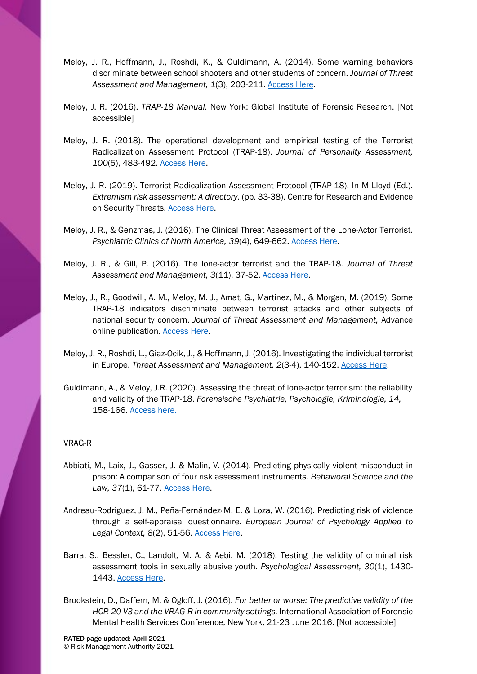- Meloy, J. R., Hoffmann, J., Roshdi, K., & Guldimann, A. (2014). Some warning behaviors discriminate between school shooters and other students of concern. *Journal of Threat Assessment and Management, 1*(3), 203-211. [Access Here.](http://psycnet.apa.org/record/2014-45121-008)
- Meloy, J. R. (2016). *TRAP-18 Manual.* New York: Global Institute of Forensic Research. [Not accessible]
- Meloy, J. R. (2018). The operational development and empirical testing of the Terrorist Radicalization Assessment Protocol (TRAP-18). *Journal of Personality Assessment, 100*(5), 483-492. [Access Here.](http://drreidmeloy.com/wp-content/uploads/2018/08/2018_TheOperationalDevelopmentandEmpirical.pdf)
- Meloy, J. R. (2019). Terrorist Radicalization Assessment Protocol (TRAP-18). In M Lloyd (Ed.). *Extremism risk assessment: A directory.* (pp. 33-38). Centre for Research and Evidence on Security Threats. [Access Here.](https://crestresearch.ac.uk/resources/extremism-risk-assessment-directory/)
- Meloy, J. R., & Genzmas, J. (2016). The Clinical Threat Assessment of the Lone-Actor Terrorist. *Psychiatric Clinics of North America, 39*(4), 649-662. [Access Here.](https://www.sciencedirect.com/science/article/pii/S0193953X16300429?via%3Dihub)
- Meloy, J. R., & Gill, P. (2016). The lone-actor terrorist and the TRAP-18. *Journal of Threat Assessment and Management, 3*(11), 37-52. [Access Here.](http://psycnet.apa.org/doiLanding?doi=10.1037%2Ftam0000061)
- Meloy, J., R., Goodwill, A. M., Meloy, M. J., Amat, G., Martinez, M., & Morgan, M. (2019). Some TRAP-18 indicators discriminate between terrorist attacks and other subjects of national security concern. *Journal of Threat Assessment and Management,* Advance online publication. [Access Here.](https://psycnet.apa.org/doiLanding?doi=10.1037%2Ftam0000119)
- Meloy, J. R., Roshdi, L., Giaz-Ocik, J., & Hoffmann, J. (2016). Investigating the individual terrorist in Europe. *Threat Assessment and Management, 2*(3-4), 140-152. [Access Here.](http://drreidmeloy.com/wp-content/uploads/2016/05/2015_InvestigatingtheIndividualTerrorist.pdf)
- Guldimann, A., & Meloy, J.R. (2020). Assessing the threat of lone-actor terrorism: the reliability and validity of the TRAP-18. *[Forensische Psychiatrie, Psychologie, Kriminologie,](https://link.springer.com/journal/11757) 14,*  158-166. [Access here.](https://link.springer.com/article/10.1007%2Fs11757-020-00596-y)

## VRAG-R

- Abbiati, M., Laix, J., Gasser, J. & Malin, V. (2014). Predicting physically violent misconduct in prison: A comparison of four risk assessment instruments. *Behavioral Science and the Law, 37*(1), 61-77. [Access Here.](https://onlinelibrary.wiley.com/doi/full/10.1002/bsl.2364)
- Andreau-Rodriguez, J. M., Peña-Fernández, M. E. & Loza, W. (2016). Predicting risk of violence through a self-appraisal questionnaire. *European Journal of Psychology Applied to Legal Context, 8*(2), 51-56. [Access Here.](https://www.researchgate.net/publication/303634575_Predicting_risk_of_violence_through_a_self-appraisal_questionnaire)
- Barra, S., Bessler, C., Landolt, M. A. & Aebi, M. (2018). Testing the validity of criminal risk assessment tools in sexually abusive youth. *Psychological Assessment, 30*(1), 1430- 1443. [Access Here.](https://psycnet.apa.org/record/2018-24448-001)
- Brookstein, D., Daffern, M. & Ogloff, J. (2016). *For better or worse: The predictive validity of the HCR-20 V3 and the VRAG-R in community settings.* International Association of Forensic Mental Health Services Conference, New York, 21-23 June 2016. [Not accessible]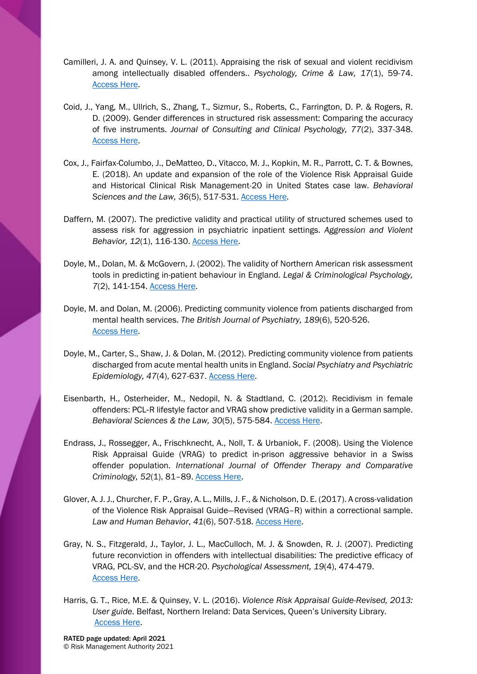- Camilleri, J. A. and Quinsey, V. L. (2011). Appraising the risk of sexual and violent recidivism among intellectually disabled offenders.. *Psychology, Crime & Law, 17*(1), 59-74. [Access Here.](http://www.westfield.ma.edu/PersonalPages/jcamilleri/Publications_files/Camilleri%20&%20Quinsey%202011.pdf)
- Coid, J., Yang, M., Ullrich, S., Zhang, T., Sizmur, S., Roberts, C., Farrington, D. P. & Rogers, R. D. (2009). Gender differences in structured risk assessment: Comparing the accuracy of five instruments. *Journal of Consulting and Clinical Psychology, 77*(2), 337-348. [Access Here.](http://psycnet.apa.org/record/2009-03774-014)
- Cox, J., Fairfax-Columbo, J., DeMatteo, D., Vitacco, M. J., Kopkin, M. R., Parrott, C. T. & Bownes, E. (2018). An update and expansion of the role of the Violence Risk Appraisal Guide and Historical Clinical Risk Management-20 in United States case law. *Behavioral Sciences and the Law, 36*(5), 517-531. [Access Here.](https://onlinelibrary.wiley.com/doi/full/10.1002/bsl.2376)
- Daffern, M. (2007). The predictive validity and practical utility of structured schemes used to assess risk for aggression in psychiatric inpatient settings. *Aggression and Violent Behavior, 12*(1), 116-130. [Access Here.](http://psycnet.apa.org/record/2006-23565-008)
- Doyle, M., Dolan, M. & McGovern, J. (2002). The validity of Northern American risk assessment tools in predicting in-patient behaviour in England. *Legal & Criminological Psychology, 7*(2), 141-154. [Access Here.](https://onlinelibrary.wiley.com/doi/abs/10.1348/135532502760274756)
- Doyle, M. and Dolan, M. (2006). Predicting community violence from patients discharged from mental health services. *The British Journal of Psychiatry, 189*(6), 520-526. [Access Here.](https://www.cambridge.org/core/journals/the-british-journal-of-psychiatry/article/predicting-community-violence-from-patients-discharged-from-mental-health-services/48EDFA5A28E7E2C50201C83C7EDCB44F)
- Doyle, M., Carter, S., Shaw, J. & Dolan, M. (2012). Predicting community violence from patients discharged from acute mental health units in England. *Social Psychiatry and Psychiatric Epidemiology, 47*(4), 627-637. [Access Here.](https://link.springer.com/article/10.1007%2Fs00127-011-0366-8)
- Eisenbarth, H., Osterheider, M., Nedopil, N. & Stadtland, C. (2012). Recidivism in female offenders: PCL‐R lifestyle factor and VRAG show predictive validity in a German sample. *Behavioral Sciences & the Law, 30*(5), 575-584. [Access Here.](https://onlinelibrary.wiley.com/doi/abs/10.1002/bsl.2013)
- Endrass, J., Rossegger, A., Frischknecht, A., Noll, T. & Urbaniok, F. (2008). Using the Violence Risk Appraisal Guide (VRAG) to predict in-prison aggressive behavior in a Swiss offender population. *International Journal of Offender Therapy and Comparative Criminology, 52*(1), 81–89. [Access Here.](https://journals.sagepub.com/doi/abs/10.1177/0306624X07301643)
- Glover, A. J. J., Churcher, F. P., Gray, A. L., Mills, J. F., & Nicholson, D. E. (2017). A cross-validation of the Violence Risk Appraisal Guide—Revised (VRAG–R) within a correctional sample. *Law and Human Behavior*, *41*(6), 507-518. [Access Here.](http://psycnet.apa.org/record/2017-33748-001)
- Gray, N. S., Fitzgerald, J., Taylor, J. L., MacCulloch, M. J. & Snowden, R. J. (2007). Predicting future reconviction in offenders with intellectual disabilities: The predictive efficacy of VRAG, PCL-SV, and the HCR-20. *Psychological Assessment, 19*(4), 474-479. [Access Here.](http://psycnet.apa.org/record/2007-18415-011)
- Harris, G. T., Rice, M.E. & Quinsey, V. L. (2016). *Violence Risk Appraisal Guide-Revised, 2013: User guide*. Belfast, Northern Ireland: Data Services, Queen's University Library. [Access Here.](https://qspace.library.queensu.ca/bitstream/handle/1974/14830/vrag-user-guide.pdf?sequence=12&isAllowed=y)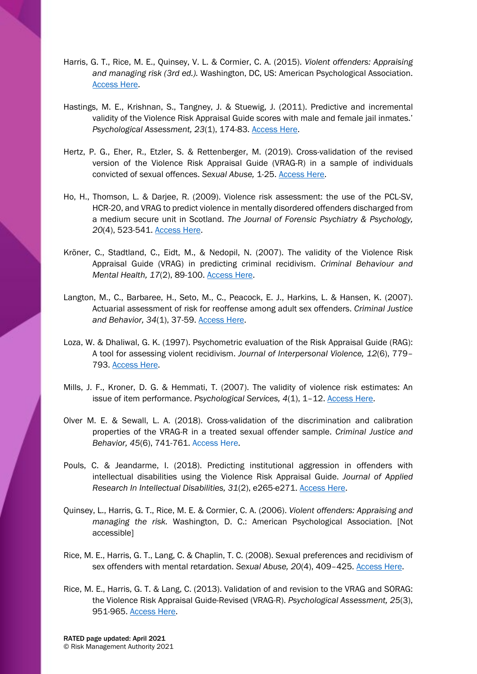- Harris, G. T., Rice, M. E., Quinsey, V. L. & Cormier, C. A. (2015). *Violent offenders: Appraising and managing risk (3rd ed.).* Washington, DC, US: American Psychological Association. [Access Here.](https://psycnet.apa.org/record/2014-38766-000)
- Hastings, M. E., Krishnan, S., Tangney, J. & Stuewig, J. (2011). Predictive and incremental validity of the Violence Risk Appraisal Guide scores with male and female jail inmates.' *Psychological Assessment, 23*(1), 174-83. [Access Here.](https://www.ncbi.nlm.nih.gov/pmc/articles/PMC3074300/)
- Hertz, P. G., Eher, R., Etzler, S. & Rettenberger, M. (2019). Cross-validation of the revised version of the Violence Risk Appraisal Guide (VRAG-R) in a sample of individuals convicted of sexual offences. *Sexual Abuse,* 1-25. [Access Here.](https://journals.sagepub.com/doi/full/10.1177/1079063219841901)
- Ho, H., Thomson, L. & Darjee, R. (2009). Violence risk assessment: the use of the PCL-SV, HCR-20, and VRAG to predict violence in mentally disordered offenders discharged from a medium secure unit in Scotland. *The Journal of Forensic Psychiatry & Psychology, 20*(4), 523-541. [Access Here.](https://www.tandfonline.com/doi/abs/10.1080/14789940802638358)
- Kröner, C., Stadtland, C., Eidt, M., & Nedopil, N. (2007). The validity of the Violence Risk Appraisal Guide (VRAG) in predicting criminal recidivism. *Criminal Behaviour and Mental Health, 17*(2), 89-100. [Access Here.](https://onlinelibrary.wiley.com/doi/abs/10.1002/cbm.644)
- Langton, M., C., Barbaree, H., Seto, M., C., Peacock, E. J., Harkins, L. & Hansen, K. (2007). Actuarial assessment of risk for reoffense among adult sex offenders. *Criminal Justice and Behavior, 34*(1), 37-59. [Access Here.](https://www.researchgate.net/publication/224876605_Actuarial_Assessment_of_Risk_for_Reoffense_Among_Adult_Sex_Offenders/download)
- Loza, W. & Dhaliwal, G. K. (1997). Psychometric evaluation of the Risk Appraisal Guide (RAG): A tool for assessing violent recidivism. *Journal of Interpersonal Violence, 12*(6), 779– 793. [Access Here.](https://journals.sagepub.com/doi/10.1177/088626097012006001)
- Mills, J. F., Kroner, D. G. & Hemmati, T. (2007). The validity of violence risk estimates: An issue of item performance. *Psychological Services, 4*(1), 1–12. [Access Here.](https://www.researchgate.net/profile/Jeremy_Mills2/publication/232586219_The_validity_of_violence_risk_estimates_An_issue_of_item_performance/links/543d67150cf25d6b1ad948d9/The-validity-of-violence-risk-estimates-An-issue-of-item-performance.pdf)
- Olver M. E. & Sewall, L. A. (2018). Cross-validation of the discrimination and calibration properties of the VRAG-R in a treated sexual offender sample. *Criminal Justice and Behavior, 45*(6), 741-761. [Access Here.](https://journals.sagepub.com/doi/full/10.1177/0093854818762483)
- Pouls, C. & Jeandarme, I. (2018). Predicting institutional aggression in offenders with intellectual disabilities using the Violence Risk Appraisal Guide. *Journal of Applied Research In Intellectual Disabilities, 31*(2), e265-e271. [Access Here.](https://onlinelibrary.wiley.com/doi/abs/10.1111/jar.1231)
- Quinsey, L., Harris, G. T., Rice, M. E. & Cormier, C. A. (2006). *Violent offenders: Appraising and managing the risk.* Washington, D. C.: American Psychological Association. [Not accessible]
- Rice, M. E., Harris, G. T., Lang, C. & Chaplin, T. C. (2008). Sexual preferences and recidivism of sex offenders with mental retardation. *Sexual Abuse, 20*(4), 409–425. [Access Here.](https://journals.sagepub.com/doi/10.1177/1079063208324662)
- Rice, M. E., Harris, G. T. & Lang, C. (2013). Validation of and revision to the VRAG and SORAG: the Violence Risk Appraisal Guide-Revised (VRAG-R). *Psychological Assessment, 25*(3), 951-965. [Access Here.](http://psycnet.apa.org/record/2013-15710-001)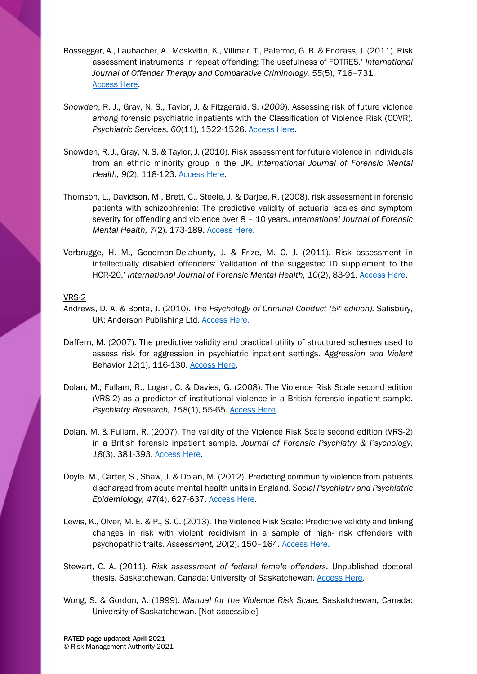- Rossegger, A., Laubacher, A., Moskvitin, K., Villmar, T., Palermo, G. B. & Endrass, J. (2011). Risk assessment instruments in repeat offending: The usefulness of FOTRES.' *International Journal of Offender Therapy and Comparative Criminology, 55*(5), 716–731. [Access Here.](https://journals.sagepub.com/doi/abs/10.1177/0306624X09360662)
- *Snowden*, R. J., Gray, N. S., Taylor, J. & Fitzgerald, S. (*2009*). Assessing risk of future violence *among* forensic psychiatric inpatients with the Classification of Violence Risk (COVR). *Psychiatric Services, 60*(11), 1522-1526. [Access Here.](https://ps.psychiatryonline.org/doi/full/10.1176/ps.2009.60.11.1522?url_ver=Z39.88-2003&rfr_id=ori%3Arid%3Acrossref.org&rfr_dat=cr_pub%3Dpubmed&)
- Snowden, R. J., Gray, N. S. & Taylor, J. (2010). Risk assessment for future violence in individuals from an ethnic minority group in the UK. *International Journal of Forensic Mental Health, 9*(2), 118-123. [Access Here.](https://doi.org/10.1080/14999013.2010.501845)
- Thomson, L., Davidson, M., Brett, C., Steele, J. & Darjee, R. (2008). risk assessment in forensic patients with schizophrenia: The predictive validity of actuarial scales and symptom severity for offending and violence over 8 – 10 years. *International Journal of Forensic Mental Health, 7*(2), 173-189. [Access Here.](https://www.tandfonline.com/doi/abs/10.1080/14999013.2008.9914413)
- Verbrugge, H. M., Goodman-Delahunty, J. & Frize, M. C. J. (2011). Risk assessment in intellectually disabled offenders: Validation of the suggested ID supplement to the HCR-20.' *International Journal of Forensic Mental Health, 10*(2), 83-91. [Access Here.](https://www.tandfonline.com/doi/abs/10.1080/14999013.2011.555934)

## VRS-2

- Andrews, D. A. & Bonta, J. (2010). *The Psychology of Criminal Conduct (5th edition).* Salisbury, UK: Anderson Publishing Ltd. [Access Here.](https://www.sciencedirect.com/book/9781422463291/the-psychology-of-criminal-conduct#book-description)
- Daffern, M. (2007). The predictive validity and practical utility of structured schemes used to assess risk for aggression in psychiatric inpatient settings. *Aggression and Violent*  Behavior *12*(1), 116-130. [Access Here.](http://psycnet.apa.org/record/2006-23565-008)
- Dolan, M., Fullam, R., Logan, C. & Davies, G. (2008). The Violence Risk Scale second edition (VRS-2) as a predictor of institutional violence in a British forensic inpatient sample. *Psychiatry Research, 158*(1), 55-65. [Access Here.](https://www.sciencedirect.com/science/article/pii/S0165178106002721?via%3Dihub)
- Dolan, M. & Fullam, R. (2007). The validity of the Violence Risk Scale second edition (VRS-2) in a British forensic inpatient sample. *Journal of Forensic Psychiatry & Psychology, 18*(3), 381-393. [Access Here.](http://psycnet.apa.org/record/2007-12466-008)
- Doyle, M., Carter, S., Shaw, J. & Dolan, M. (2012). Predicting community violence from patients discharged from acute mental health units in England. *Social Psychiatry and Psychiatric Epidemiology, 47*(4), 627-637. [Access Here.](https://link.springer.com/article/10.1007%2Fs00127-011-0366-8)
- Lewis, K., Olver, M. E. & P., S. C. (2013). The Violence Risk Scale: Predictive validity and linking changes in risk with violent recidivism in a sample of high- risk offenders with psychopathic traits. *Assessment, 20*(2), 150–164. [Access Here.](hhttps://www.researchgate.net/publication/224897605_The_Violence_Risk_Scale_Predictive_Validity_and_Linking_Changes_in_Risk_With_Violent_Recidivism_in_a_Sample_of_High-Risk_Offenders_With_Psychopathic_Traits/download)
- Stewart, C. A. (2011). *Risk assessment of federal female offenders.* Unpublished doctoral thesis. Saskatchewan, Canada: University of Saskatchewan. [Access Here.](https://harvest.usask.ca/bitstream/handle/10388/ETD-2011-11-248/STEWART-DISSERTATION.pdf?sequence=4&isAllowed=y)
- Wong, S. & Gordon, A. (1999). *Manual for the Violence Risk Scale.* Saskatchewan, Canada: University of Saskatchewan. [Not accessible]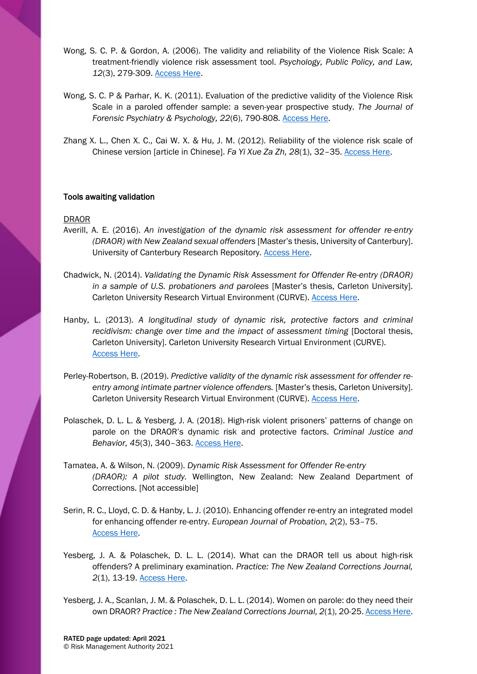- Wong, S. C. P. & Gordon, A. (2006). The validity and reliability of the Violence Risk Scale: A treatment-friendly violence risk assessment tool. *Psychology, Public Policy, and Law, 12*(3), 279-309. [Access Here.](https://www.researchgate.net/profile/Stephen_Wong13/publication/232483691_The_validity_and_reliability_of_the_Violence_Risk_Scale_A_treatment-friendly_violence_risk_assessment_tool/links/572ed94b08aee022975a6345/The-validity-and-reliability-of-the-Violence-Risk-Scale-A-treatment-friendly-violence-risk-assessment-tool.pdf)
- Wong, S. C. P & Parhar, K. K. (2011). Evaluation of the predictive validity of the Violence Risk Scale in a paroled offender sample: a seven-year prospective study. *The Journal of Forensic Psychiatry & Psychology, 22*(6), 790-808. [Access Here.](https://www.tandfonline.com/doi/abs/10.1080/14789949.2011.623172)
- Zhang X. L., Chen X. C., Cai W. X. & Hu, J. M. (2012). Reliability of the violence risk scale of Chinese version [article in Chinese]. *Fa Yi Xue Za Zh, 28*(1), 32–35. [Access Here.](https://www.ncbi.nlm.nih.gov/pubmed/22435335)

## Tools awaiting validation

#### DRAOR

- Averill, A. E. (2016). *An investigation of the dynamic risk assessment for offender re-entry (DRAOR) with New Zealand sexual offenders* [Master's thesis, University of Canterbury]. University of Canterbury Research Repository. [Access Here.](https://ir.canterbury.ac.nz/bitstream/handle/10092/12883/Averill%2c%20Alyshia_MSc%20thesis.pdf?sequence=1&isAllowed=y)
- Chadwick, N. (2014). *Validating the Dynamic Risk Assessment for Offender Re-entry (DRAOR) in a sample of U.S. probationers and parolees* [Master's thesis, Carleton University]. Carleton University Research Virtual Environment (CURVE). [Access Here.](https://curve.carleton.ca/system/files/etd/f43f2b17-42cf-4792-8ddc-351682dee8bf/etd_pdf/8d62344989677d92606d69f69843364d/chadwick-validatingthedynamicriskassessmentforoffender.pdf)
- Hanby, L. (2013). *A longitudinal study of dynamic risk, protective factors and criminal recidivism: change over time and the impact of assessment timing [Doctoral thesis,* Carleton University]. Carleton University Research Virtual Environment (CURVE). [Access Here.](https://curve.carleton.ca/system/files/etd/b6aa7d5d-f44b-48d6-9ea9-5d0f92b8f7a7/etd_pdf/a7fc1a78dfe694530e8937c422d4851e/hanby-alongitudinalstudyofdynamicriskprotective.pdf)
- Perley-Robertson, B. (2019). *Predictive validity of the dynamic risk assessment for offender reentry among intimate partner violence offenders.* [Master's thesis, Carleton University]. Carleton University Research Virtual Environment (CURVE). [Access Here.](https://curve.carleton.ca/system/files/etd/71561148-616b-4e95-bec3-e9b83301be3c/etd_pdf/f928fc4b9a7775f0e8458a42cdb773cd/perley-robertson-predictivevalidityofthedynamicriskassessment.pdf)
- Polaschek, D. L. L. & Yesberg, J. A. (2018). High-risk violent prisoners' patterns of change on parole on the DRAOR's dynamic risk and protective factors. *Criminal Justice and Behavior, 45*(3), 340–363. [Access Here.](https://journals.sagepub.com/doi/abs/10.1177/0093854817739928#articleCitationDownloadContainer)
- Tamatea, A. & Wilson, N. (2009). *Dynamic Risk Assessment for Offender Re-entry (DRAOR): A pilot study.* Wellington, New Zealand: New Zealand Department of Corrections. [Not accessible]
- Serin, R. C., Lloyd, C. D. & Hanby, L. J. (2010). Enhancing offender re-entry an integrated model for enhancing offender re-entry. *European Journal of Probation, 2*(2), 53–75. [Access Here.](https://journals.sagepub.com/doi/abs/10.1177/206622031000200205)
- Yesberg, J. A. & Polaschek, D. L. L. (2014). What can the DRAOR tell us about high-risk offenders? A preliminary examination. *Practice: The New Zealand Corrections Journal, 2*(1), 13-19. [Access Here.](https://www.corrections.govt.nz/__data/assets/pdf_file/0011/736265/COR-Practice-Journal-Vol2-Iss1-April14-v4lowres.pdf)
- Yesberg, J. A., Scanlan, J. M. & Polaschek, D. L. L. (2014). Women on parole: do they need their own DRAOR? *Practice : The New Zealand Corrections Journal, 2*(1), 20-25[. Access Here.](https://www.corrections.govt.nz/__data/assets/pdf_file/0011/736265/COR-Practice-Journal-Vol2-Iss1-April14-v4lowres.pdf)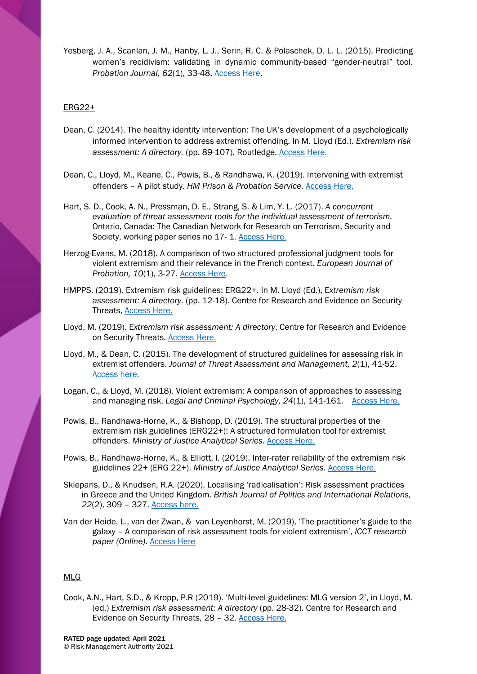Yesberg, J. A., Scanlan, J. M., Hanby, L. J., Serin, R. C. & Polaschek, D. L. L. (2015). Predicting women's recidivism: validating in dynamic community-based "gender-neutral" tool. *Probation Journal, 62*(1), 33-48. [Access Here.](https://journals.sagepub.com/doi/abs/10.1177/0264550514562851?journalCode=prbb)

## ERG22+

- Dean, C. (2014). The healthy identity intervention: The UK's development of a psychologically informed intervention to address extremist offending. In M. Lloyd (Ed.). *Extremism risk assessment: A directory.* (pp. 89-107). Routledge. [Access Here.](https://www.routledge.com/Prisons--Terrorism-and-Extre-mism-Critical-Issues-in-Management-Radicalisation/Silke/p/book/9780415810388)
- Dean, C., Lloyd, M., Keane, C., Powis, B., & Randhawa, K. (2019). Intervening with extremist offenders – A pilot study. *HM Prison & Probation Service.* [Access Here.](https://www.gov.uk/government/publications/intervening-with-extremist-offenders-a-pilot-study)
- Hart, S. D., Cook, A. N., Pressman, D. E., Strang, S. & Lim, Y. L. (2017). *A concurrent evaluation of threat assessment tools for the individual assessment of terrorism.*  Ontario, Canada: The Canadian Network for Research on Terrorism, Security and Society, working paper series no 17- 1. [Access Here.](https://www.tsas.ca/publications/a-concurrent-evaluation-of-threat-assessment-tools-for-the-individual-assessment-of-terrorism/)
- Herzog-Evans, M. (2018). A comparison of two structured professional judgment tools for violent extremism and their relevance in the French context. *European Journal of Probation, 10*(1), 3-27. [Access Here.](https://doi.org/10.1177%2F2066220317749140)
- HMPPS. (2019). Extremism risk guidelines: ERG22+. In M. Lloyd (Ed.), E*xtremism risk assessment: A directory.* (pp. 12-18). Centre for Research and Evidence on Security Threats, [Access Here.](https://crestresearch.ac.uk/resources/extremism-risk-assessment-directory/)
- Lloyd, M. (2019). E*xtremism risk assessment: A directory*. Centre for Research and Evidence on Security Threats. [Access Here.](https://crestresearch.ac.uk/resources/extremism-risk-assessment-directory/)
- Lloyd, M., & Dean, C. (2015). The development of structured guidelines for assessing risk in extremist offenders. *Journal of Threat Assessment and Management, 2*(1), 41-52. [Access here.](https://doi.apa.org/doi/10.1037/tam0000035)
- Logan, C., & Lloyd, M. (2018). Violent extremism: A comparison of approaches to assessing and managing risk. *Legal and Criminal Psychology, 24*(1), 141-161. [Access Here.](https://doi.org/10.1111/lcrp.12140)
- Powis, B., Randhawa-Horne, K., & Bishopp, D. (2019). The structural properties of the extremism risk guidelines (ERG22+): A structured formulation tool for extremist offenders. *Ministry of Justice Analytical Series.* [Access Here.](https://www.gov.uk/government/publications/the-structural-properties-of-the-extremism-risk-guidelines-erg22-a-structured-formulation-tool-for-extremist-offenders)
- Powis, B., Randhawa-Horne, K., & Elliott, I. (2019). Inter-rater reliability of the extremism risk guidelines 22+ (ERG 22+). *Ministry of Justice Analytical Series.* [Access Here.](https://www.gov.uk/government/publications/inter-rater-reliability-of-the-extremism-risk-guidelines-22-erg-22)
- Skleparis, D., & Knudsen, R.A. (2020). Localising 'radicalisation': Risk assessment practices in Greece and the United Kingdom. *British Journal of Politics and International Relations, 22*(2), 309 – 327. [Access here.](https://icct.nl/publication/the-practitioners-guide-to-the-galaxy-a-comparison-of-risk-assessment-tools-for-violent-extremism/)
- Van der Heide, L., van der Zwan, & van Leyenhorst, M. (2019), 'The practitioner's guide to the galaxy – A comparison of risk assessment tools for violent extremism', *ICCT research paper (Online)*. [Access Here](https://icct.nl/publication/the-practitioners-guide-to-the-galaxy-a-comparison-of-risk-assessment-tools-for-violent-extremism/)

#### MLG

Cook, A.N., Hart, S.D., & Kropp, P.R (2019). 'Multi-level guidelines: MLG version 2', in Lloyd, M. (ed.) *Extremism risk assessment: A directory* (pp. 28-32). Centre for Research and Evidence on Security Threats, 28 – 32. [Access Here.](https://crestresearch.ac.uk/resources/extremism-risk-assessment-directory/)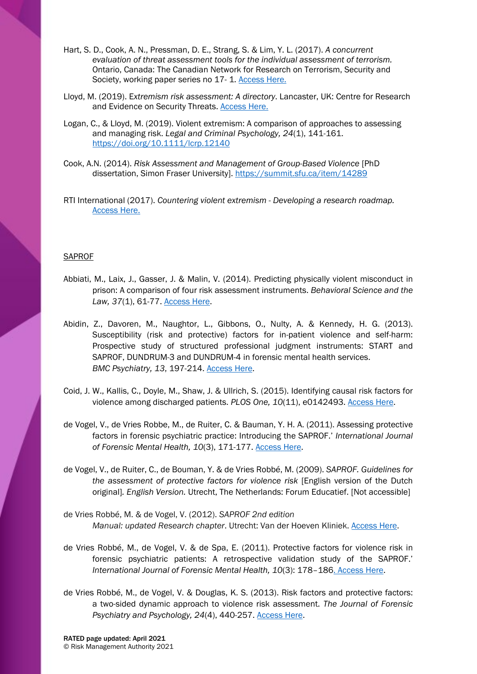- Hart, S. D., Cook, A. N., Pressman, D. E., Strang, S. & Lim, Y. L. (2017). *A concurrent evaluation of threat assessment tools for the individual assessment of terrorism.*  Ontario, Canada: The Canadian Network for Research on Terrorism, Security and Society, working paper series no 17- 1. [Access Here.](https://www.tsas.ca/publications/a-concurrent-evaluation-of-threat-assessment-tools-for-the-individual-assessment-of-terrorism/)
- Lloyd, M. (2019). E*xtremism risk assessment: A directory*. Lancaster, UK: Centre for Research and Evidence on Security Threats. [Access Here.](https://crestresearch.ac.uk/resources/extremism-risk-assessment-directory/)
- Logan, C., & Lloyd, M. (2019). Violent extremism: A comparison of approaches to assessing and managing risk. *Legal and Criminal Psychology, 24*(1), 141-161. <https://doi.org/10.1111/lcrp.12140>
- Cook, A.N. (2014). *Risk Assessment and Management of Group-Based Violence* [PhD dissertation, Simon Fraser University].<https://summit.sfu.ca/item/14289>
- RTI International (2017). *Countering violent extremism - Developing a research roadmap.*  [Access Here.](https://www.dhs.gov/sites/default/files/publications/861_OPSR_TP_CVE-Developing-Research-Roadmap_Oct2017.pdf)

## **SAPROF**

- Abbiati, M., Laix, J., Gasser, J. & Malin, V. (2014). Predicting physically violent misconduct in prison: A comparison of four risk assessment instruments. *Behavioral Science and the Law, 37*(1), 61-77. [Access Here.](https://onlinelibrary.wiley.com/doi/full/10.1002/bsl.2364)
- Abidin, Z., Davoren, M., Naughtor, L., Gibbons, O., Nulty, A. & Kennedy, H. G. (2013). Susceptibility (risk and protective) factors for in-patient violence and self-harm: Prospective study of structured professional judgment instruments: START and SAPROF, DUNDRUM-3 and DUNDRUM-4 in forensic mental health services. *BMC Psychiatry, 13*, 197-214. [Access Here.](https://www.ncbi.nlm.nih.gov/pmc/articles/PMC3727954/)
- Coid, J. W., Kallis, C., Doyle, M., Shaw, J. & Ullrich, S. (2015). Identifying causal risk factors for violence among discharged patients. *PLOS One, 10*(11), e0142493. [Access Here.](https://www.ncbi.nlm.nih.gov/pmc/articles/PMC4640710/)
- de Vogel, V., de Vries Robbe, M., de Ruiter, C. & Bauman, Y. H. A. (2011). Assessing protective factors in forensic psychiatric practice: Introducing the SAPROF.' *International Journal of Forensic Mental Health, 10*(3), 171-177. [Access Here.](https://www.tandfonline.com/doi/abs/10.1080/14999013.2011.600230)
- de Vogel, V., de Ruiter, C., de Bouman, Y. & de Vries Robbé, M. (2009). *SAPROF. Guidelines for the assessment of protective factors for violence risk* [English version of the Dutch original]*. English Version.* Utrecht, The Netherlands: Forum Educatief. [Not accessible]
- de Vries Robbé, M. & de Vogel, V. (2012). *SAPROF 2nd edition Manual: updated Research chapter*. Utrecht: Van der Hoeven Kliniek. [Access Here.](https://www.slideshare.net/mikedvr/research-chapter-saprof-2nd-edition-de-vries-robb-de-vogel-2012)
- de Vries Robbé, M., de Vogel, V. & de Spa, E. (2011). Protective factors for violence risk in forensic psychiatric patients: A retrospective validation study of the SAPROF.' *International Journal of Forensic Mental Health, 10*(3): 178–18[6. Access Here.](https://www.tandfonline.com/doi/abs/10.1080/14999013.2011.600232)
- de Vries Robbé, M., de Vogel, V. & Douglas, K. S. (2013). Risk factors and protective factors: a two-sided dynamic approach to violence risk assessment. *The Journal of Forensic Psychiatry and Psychology, 24*(4), 440-257. [Access Here.](https://journals.sagepub.com/doi/abs/10.1177/0306624X16664379)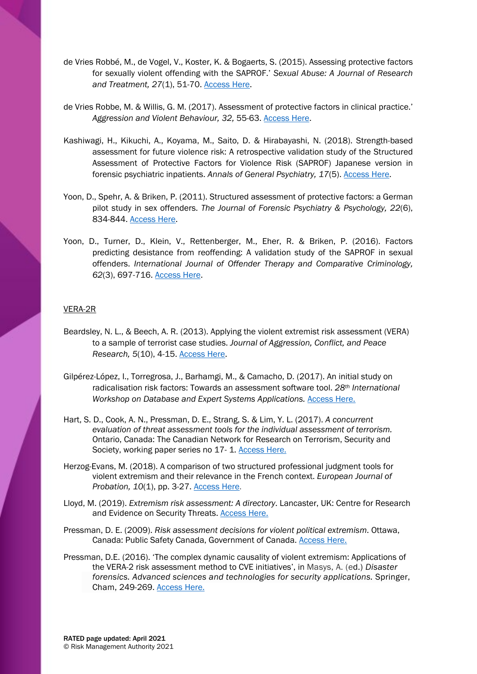- de Vries Robbé, M., de Vogel, V., Koster, K. & Bogaerts, S. (2015). Assessing protective factors for sexually violent offending with the SAPROF.' *Sexual Abuse: A Journal of Research and Treatment, 27*(1), 51-70. [Access Here.](https://journals.sagepub.com/doi/full/10.1177/1079063214550168?url_ver=Z39.88-2003&rfr_id=ori%3Arid%3Acrossref.org&rfr_dat=cr_pub%3Dpubmed)
- de Vries Robbe, M. & Willis, G. M. (2017). Assessment of protective factors in clinical practice.' *Aggression and Violent Behaviour, 32,* 55-63. [Access Here.](http://psycnet.apa.org/record/2017-00375-009)
- Kashiwagi, H., Kikuchi, A., Koyama, M., Saito, D. & Hirabayashi, N. (2018). Strength-based assessment for future violence risk: A retrospective validation study of the Structured Assessment of Protective Factors for Violence Risk (SAPROF) Japanese version in forensic psychiatric inpatients. *Annals of General Psychiatry, 17*(5). [Access Here.](https://www.ncbi.nlm.nih.gov/pmc/articles/PMC5791203/)
- Yoon, D., Spehr, A. & Briken, P. (2011). Structured assessment of protective factors: a German pilot study in sex offenders. *The Journal of Forensic Psychiatry & Psychology, 22*(6), 834-844. [Access Here.](https://www.tandfonline.com/doi/abs/10.1080/14789949.2011.617831)
- Yoon, D., Turner, D., Klein, V., Rettenberger, M., Eher, R. & Briken, P. (2016). Factors predicting desistance from reoffending: A validation study of the SAPROF in sexual offenders. *International Journal of Offender Therapy and Comparative Criminology, 62*(3), 697-716. [Access Here.](https://journals.sagepub.com/doi/abs/10.1177/0306624X16664379)

## VERA-2R

- Beardsley, N. L., & Beech, A. R. (2013). Applying the violent extremist risk assessment (VERA) to a sample of terrorist case studies. *Journal of Aggression, Conflict, and Peace Research, 5*(10), 4-15. [Access Here.](https://doi.org/10.1108/17596591311290713)
- Gilpérez-López, I., Torregrosa, J., Barhamgi, M., & Camacho, D. (2017). An initial study on radicalisation risk factors: Towards an assessment software tool. *28th International Workshop on Database and Expert Systems Applications.* [Access Here.](https://www.researchgate.net/deref/http%3A%2F%2Fdx.doi.org%2F10.1109%2FDEXA.2017.19)
- Hart, S. D., Cook, A. N., Pressman, D. E., Strang, S. & Lim, Y. L. (2017). *A concurrent evaluation of threat assessment tools for the individual assessment of terrorism.*  Ontario, Canada: The Canadian Network for Research on Terrorism, Security and Society, working paper series no 17-1. [Access Here.](https://www.tsas.ca/publications/a-concurrent-evaluation-of-threat-assessment-tools-for-the-individual-assessment-of-terrorism/)
- Herzog-Evans, M. (2018). A comparison of two structured professional judgment tools for violent extremism and their relevance in the French context. *European Journal of Probation, 10*(1), pp. 3-27. [Access Here.](https://doi.org/10.1177%2F2066220317749140)
- Lloyd, M. (2019). *Extremism risk assessment: A directory*. Lancaster, UK: Centre for Research and Evidence on Security Threats. [Access Here.](https://crestresearch.ac.uk/resources/extremism-risk-assessment-directory/)
- Pressman, D. E. (2009). *Risk assessment decisions for violent political extremism*. Ottawa, Canada: Public Safety Canada, Government of Canada. [Access Here.](https://www.publicsafety.gc.ca/cnt/rsrcs/pblctns/2009-02-rdv/index-en.aspx)
- Pressman, D.E. (2016). 'The complex dynamic causality of violent extremism: Applications of the VERA-2 risk assessment method to CVE initiatives', in Masys, A. (ed.) *Disaster forensics. Advanced sciences and technologies for security applications.* Springer, Cham, 249-269. [Access Here.](https://doi.org/10.1007/978-3-319-41849-0_10)